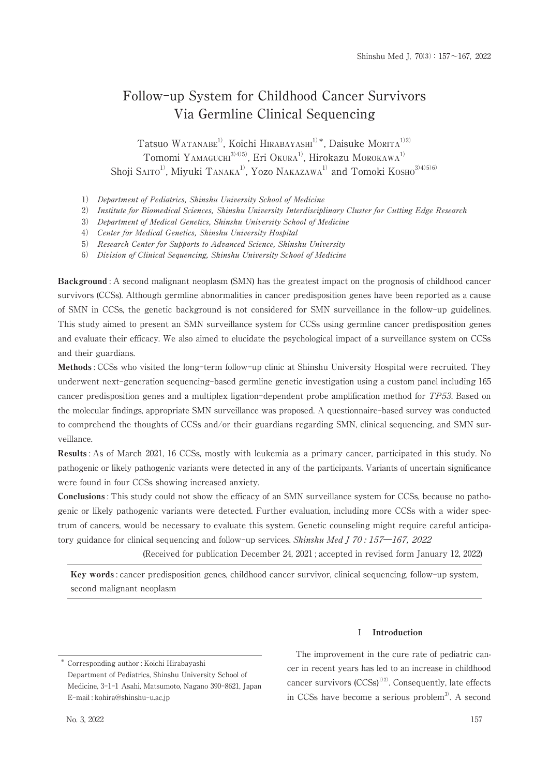# Follow-up System for Childhood Cancer Survivors Via Germline Clinical Sequencing

Tatsuo WATANABE<sup>1)</sup>, Koichi HIRABAYASHI<sup>1)\*</sup>, Daisuke MORITA<sup>1)2)</sup> Tomomi YAMAGUCHI<sup>3)4)5</sup>, Eri Okura<sup>1)</sup>, Hirokazu MOROKAWA<sup>1)</sup> Shoji SAITO<sup>1)</sup>, Miyuki TANAKA<sup>1)</sup>, Yozo NAKAZAWA<sup>1)</sup> and Tomoki KOSHO<sup>3/4/5/6</sup>

- 1) Department of Pediatrics, Shinshu University School of Medicine
- 2) Institute for Biomedical Sciences, Shinshu University Interdisciplinary Cluster for Cutting Edge Research
- 3) Department of Medical Genetics, Shinshu University School of Medicine
- 4) Center for Medical Genetics, Shinshu University Hospital

5) Research Center for Supports to Advanced Science, Shinshu University

6) Division of Clinical Sequencing, Shinshu University School of Medicine

Background: A second malignant neoplasm (SMN) has the greatest impact on the prognosis of childhood cancer survivors (CCSs). Although germline abnormalities in cancer predisposition genes have been reported as a cause of SMN in CCSs, the genetic background is not considered for SMN surveillance in the follow-up guidelines. This study aimed to present an SMN surveillance system for CCSs using germline cancer predisposition genes and evaluate their efficacy. We also aimed to elucidate the psychological impact of a surveillance system on CCSs and their guardians.

Methods: CCSs who visited the long-term follow-up clinic at Shinshu University Hospital were recruited. They underwent next-generation sequencing-based germline genetic investigation using a custom panel including 165 cancer predisposition genes and a multiplex ligation-dependent probe amplification method for TP53. Based on the molecular findings, appropriate SMN surveillance was proposed. A questionnaire-based survey was conducted to comprehend the thoughts of CCSs and/or their guardians regarding SMN, clinical sequencing, and SMN surveillance.

Results: As of March 2021, 16 CCSs, mostly with leukemia as a primary cancer, participated in this study. No pathogenic or likely pathogenic variants were detected in any of the participants. Variants of uncertain significance were found in four CCSs showing increased anxiety.

**Conclusions**: This study could not show the efficacy of an SMN surveillance system for CCSs, because no pathogenic or likely pathogenic variants were detected. Further evaluation, including more CCSs with a wider spectrum of cancers, would be necessary to evaluate this system. Genetic counseling might require careful anticipatory guidance for clinical sequencing and follow-up services. Shinshu Med J 70:157-167. 2022

(Received for publication December 24, 2021; accepted in revised form January 12, 2022)

Key words: cancer predisposition genes, childhood cancer survivor, clinical sequencing, follow-up system, second malignant neoplasm

### I Introduction

The improvement in the cure rate of pediatric cancer in recent years has led to an increase in childhood cancer survivors  $(CCSs)^{1/2}$ . Consequently, late effects in CCSs have become a serious problem<sup>3)</sup>. A second

<sup>\*</sup> Corresponding author: Koichi Hirabayashi Department of Pediatrics, Shinshu University School of Medicine, 3-1-1 Asahi, Matsumoto, Nagano 390-8621, Japan E-mail: kohira@shinshu-u.ac.jp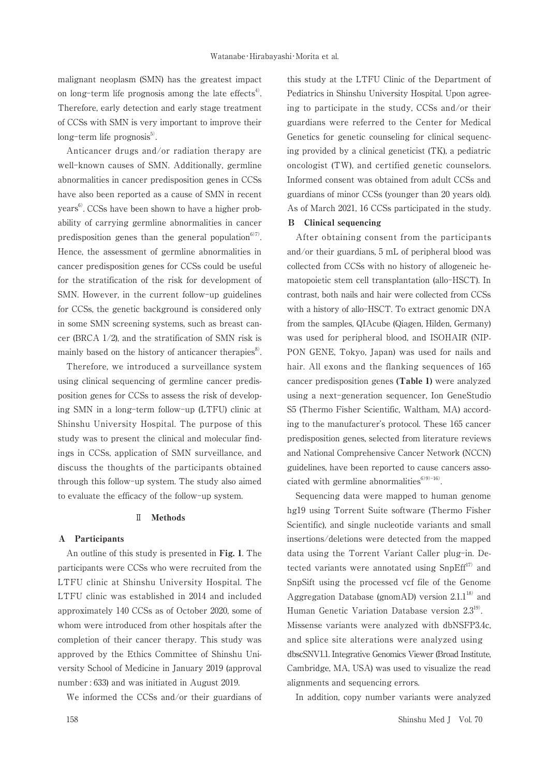malignant neoplasm (SMN) has the greatest impact on long-term life prognosis among the late effects<sup>4)</sup>. Therefore, early detection and early stage treatment of CCSs with SMN is very important to improve their long-term life prognosis<sup>5)</sup>.

Anticancer drugs and/or radiation therapy are well-known causes of SMN. Additionally, germline abnormalities in cancer predisposition genes in CCSs have also been reported as a cause of SMN in recent years<sup>6</sup>. CCSs have been shown to have a higher probability of carrying germline abnormalities in cancer predisposition genes than the general population<sup>6)7)</sup>. Hence, the assessment of germline abnormalities in cancer predisposition genes for CCSs could be useful for the stratification of the risk for development of SMN. However, in the current follow-up guidelines for CCSs, the genetic background is considered only in some SMN screening systems, such as breast cancer (BRCA 1/2), and the stratification of SMN risk is mainly based on the history of anticancer therapies<sup>8</sup>.

Therefore, we introduced a surveillance system using clinical sequencing of germline cancer predisposition genes for CCSs to assess the risk of developing SMN in a long-term follow-up (LTFU) clinic at Shinshu University Hospital. The purpose of this study was to present the clinical and molecular findings in CCSs, application of SMN surveillance, and discuss the thoughts of the participants obtained through this follow-up system. The study also aimed to evaluate the efficacy of the follow-up system.

#### $\rm I\hspace{-.1em}I$ Methods

#### A Participants

An outline of this study is presented in Fig. 1. The participants were CCSs who were recruited from the LTFU clinic at Shinshu University Hospital. The LTFU clinic was established in 2014 and included approximately 140 CCSs as of October 2020, some of whom were introduced from other hospitals after the completion of their cancer therapy. This study was approved by the Ethics Committee of Shinshu University School of Medicine in January 2019 (approval number: 633) and was initiated in August 2019.

We informed the CCSs and/or their guardians of

this study at the LTFU Clinic of the Department of Pediatrics in Shinshu University Hospital. Upon agreeing to participate in the study, CCSs and/or their guardians were referred to the Center for Medical Genetics for genetic counseling for clinical sequencing provided by a clinical geneticist (TK), a pediatric oncologist (TW), and certified genetic counselors. Informed consent was obtained from adult CCSs and guardians of minor CCSs (younger than 20 years old). As of March 2021, 16 CCSs participated in the study.

## **B** Clinical sequencing

After obtaining consent from the participants and/or their guardians, 5 mL of peripheral blood was collected from CCSs with no history of allogeneic hematopoietic stem cell transplantation (allo-HSCT). In contrast, both nails and hair were collected from CCSs with a history of allo-HSCT. To extract genomic DNA from the samples, QIAcube (Qiagen, Hilden, Germany) was used for peripheral blood, and ISOHAIR (NIP-PON GENE, Tokyo, Japan) was used for nails and hair. All exons and the flanking sequences of 165 cancer predisposition genes (Table 1) were analyzed using a next-generation sequencer, Ion GeneStudio S5 (Thermo Fisher Scientific, Waltham, MA) according to the manufacturer's protocol. These 165 cancer predisposition genes, selected from literature reviews and National Comprehensive Cancer Network (NCCN) guidelines, have been reported to cause cancers associated with germline abnormalities<sup>6)9)-16</sup>).

Sequencing data were mapped to human genome hg19 using Torrent Suite software (Thermo Fisher Scientific), and single nucleotide variants and small insertions/deletions were detected from the mapped data using the Torrent Variant Caller plug-in. Detected variants were annotated using SnpEff<sup>17)</sup> and SnpSift using the processed vcf file of the Genome Aggregation Database (gnomAD) version  $2.1.1^{18}$  and Human Genetic Variation Database version 2.3<sup>19)</sup>. Missense variants were analyzed with dbNSFP3.4c, and splice site alterations were analyzed using dbscSNV1.1. Integrative Genomics Viewer (Broad Institute, Cambridge, MA, USA) was used to visualize the read alignments and sequencing errors.

In addition, copy number variants were analyzed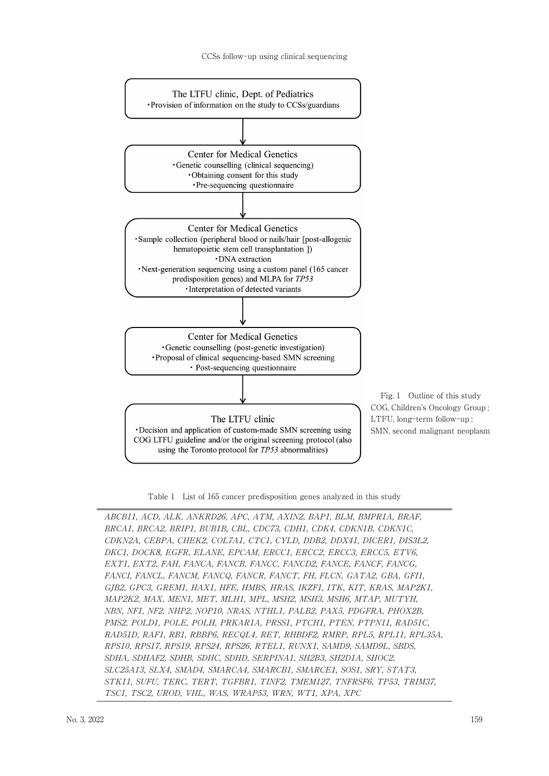

Table 1 List of 165 cancer predisposition genes analyzed in this study

ABCB11, ACD, ALK, ANKRD26, APC, ATM, AXIN2, BAP1, BLM, BMPR1A, BRAF, BRCA1, BRCA2, BRIP1, BUB1B, CBL, CDC73, CDH1, CDK4, CDKN1B, CDKN1C, CDKN2A, CEBPA, CHEK2, COL7A1, CTC1, CYLD, DDB2, DDX41, DICER1, DIS3L2, DKC1, DOCK8, EGFR, ELANE, EPCAM, ERCC1, ERCC2, ERCC3, ERCC5, ETV6, EXT1. EXT2. FAH. FANCA. FANCB. FANCC. FANCD2. FANCE. FANCF. FANCG. FANCI, FANCL, FANCM, FANCQ, FANCR, FANCT, FH, FLCN, GATA2, GBA, GFI1, GJB2, GPC3, GREM1, HAX1, HFE, HMBS, HRAS, IKZF1, ITK, KIT, KRAS, MAP2K1, MAP2K2, MAX, MEN1, MET, MLH1, MPL, MSH2, MSH3, MSH6, MTAP, MUTYH, NBN, NF1, NF2, NHP2, NOP10, NRAS, NTHL1, PALB2, PAX5, PDGFRA, PHOX2B, PMS2, POLD1, POLE, POLH, PRKAR1A, PRSS1, PTCH1, PTEN, PTPN11, RAD51C, RAD51D, RAF1, RB1, RBBP6, RECQL4, RET, RHBDF2, RMRP, RPL5, RPL11, RPL35A, RPS10, RPS17, RPS19, RPS24, RPS26, RTEL1, RUNX1, SAMD9, SAMD9L, SBDS, SDHA, SDHAF2, SDHB, SDHC, SDHD, SERPINA1, SH2B3, SH2D1A, SHOC2, SLC25A13, SLX4, SMAD4, SMARCA4, SMARCB1, SMARCE1, SOS1, SRY, STAT3, STK11, SUFU, TERC, TERT, TGFBR1, TINF2, TMEM127, TNFRSF6, TP53, TRIM37, TSC1, TSC2, UROD, VHL, WAS, WRAP53, WRN, WT1, XPA, XPC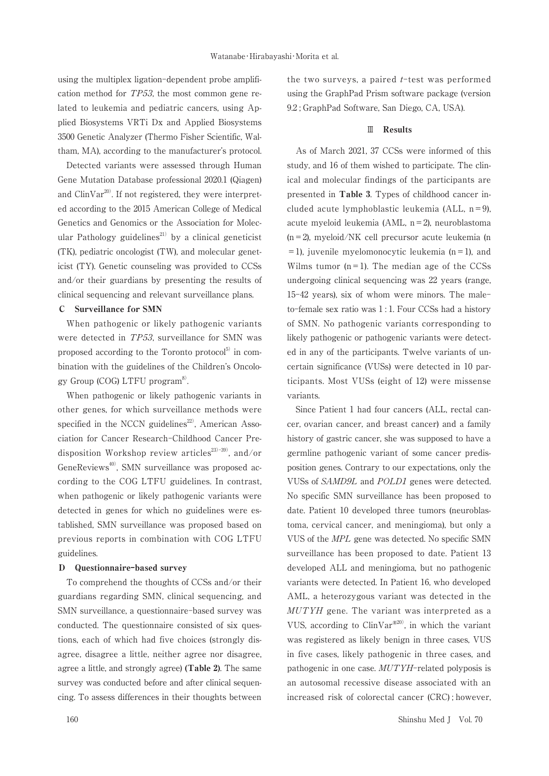using the multiplex ligation-dependent probe amplification method for  $TP53$ , the most common gene related to leukemia and pediatric cancers, using Applied Biosystems VRTi Dx and Applied Biosystems 3500 Genetic Analyzer (Thermo Fisher Scientific, Waltham, MA), according to the manufacturer's protocol.

Detected variants were assessed through Human Gene Mutation Database professional 2020.1 (Qiagen) and  $\text{ClinVar}^{20}$ . If not registered, they were interpreted according to the 2015 American College of Medical Genetics and Genomics or the Association for Molecular Pathology guidelines<sup>21)</sup> by a clinical geneticist (TK), pediatric oncologist (TW), and molecular geneticist (TY). Genetic counseling was provided to CCSs and/or their guardians by presenting the results of clinical sequencing and relevant surveillance plans.

#### **Surveillance for SMN**  $\mathbf{C}$

When pathogenic or likely pathogenic variants were detected in TP53, surveillance for SMN was proposed according to the Toronto protocol<sup>5)</sup> in combination with the guidelines of the Children's Oncology Group (COG) LTFU  $program^{8}$ .

When pathogenic or likely pathogenic variants in other genes, for which surveillance methods were specified in the NCCN guidelines<sup>22)</sup>, American Association for Cancer Research-Childhood Cancer Predisposition Workshop review articles<sup>23)-39)</sup>, and/or GeneReviews<sup>40</sup>, SMN surveillance was proposed according to the COG LTFU guidelines. In contrast, when pathogenic or likely pathogenic variants were detected in genes for which no guidelines were established, SMN surveillance was proposed based on previous reports in combination with COG LTFU guidelines.

### D Questionnaire-based survey

To comprehend the thoughts of CCSs and/or their guardians regarding SMN, clinical sequencing, and SMN surveillance, a questionnaire-based survey was conducted. The questionnaire consisted of six questions, each of which had five choices (strongly disagree, disagree a little, neither agree nor disagree. agree a little, and strongly agree) (Table 2). The same survey was conducted before and after clinical sequencing. To assess differences in their thoughts between

the two surveys, a paired  $t$ -test was performed using the GraphPad Prism software package (version 9.2; GraphPad Software, San Diego, CA, USA).

#### $\mathbb{I}$  Results

As of March 2021, 37 CCSs were informed of this study, and 16 of them wished to participate. The clinical and molecular findings of the participants are presented in Table 3. Types of childhood cancer included acute lymphoblastic leukemia (ALL,  $n=9$ ). acute myeloid leukemia (AML,  $n = 2$ ), neuroblastoma  $(n=2)$ , myeloid/NK cell precursor acute leukemia (n  $=$  1), juvenile myelomonocytic leukemia (n = 1), and Wilms tumor  $(n=1)$ . The median age of the CCSs undergoing clinical sequencing was 22 years (range, 15-42 years), six of whom were minors. The maleto-female sex ratio was 1:1. Four CCSs had a history of SMN. No pathogenic variants corresponding to likely pathogenic or pathogenic variants were detected in any of the participants. Twelve variants of uncertain significance (VUSs) were detected in 10 participants. Most VUSs (eight of 12) were missense variants.

Since Patient 1 had four cancers (ALL, rectal cancer, ovarian cancer, and breast cancer) and a family history of gastric cancer, she was supposed to have a germline pathogenic variant of some cancer predisposition genes. Contrary to our expectations, only the VUSs of SAMD9L and POLD1 genes were detected. No specific SMN surveillance has been proposed to date. Patient 10 developed three tumors (neuroblastoma, cervical cancer, and meningioma), but only a VUS of the MPL gene was detected. No specific SMN surveillance has been proposed to date. Patient 13 developed ALL and meningioma, but no pathogenic variants were detected. In Patient 16, who developed AML, a heterozygous variant was detected in the MUTYH gene. The variant was interpreted as a VUS, according to  $\text{ClinVar}^{\mathcal{B}^{20}}$ , in which the variant was registered as likely benign in three cases, VUS in five cases, likely pathogenic in three cases, and pathogenic in one case. MUTYH-related polyposis is an autosomal recessive disease associated with an increased risk of colorectal cancer (CRC); however,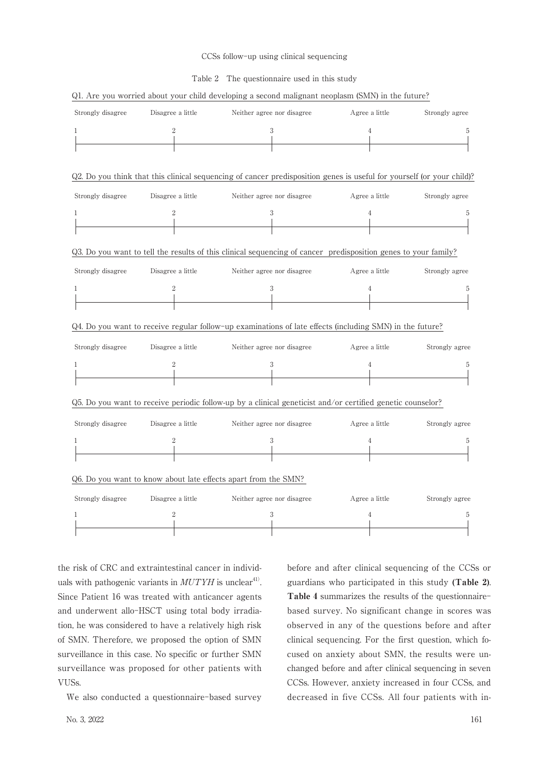#### CCSs follow-up using clinical sequencing

#### Table 2 The questionnaire used in this study

| Strongly disagree | Disagree a little | Neither agree nor disagree                                                                                            | Agree a little | Strongly agree |
|-------------------|-------------------|-----------------------------------------------------------------------------------------------------------------------|----------------|----------------|
| 1                 | $\boldsymbol{2}$  | 3                                                                                                                     | $\overline{4}$ | 5              |
|                   |                   |                                                                                                                       |                |                |
|                   |                   |                                                                                                                       |                |                |
|                   |                   | Q2. Do you think that this clinical sequencing of cancer predisposition genes is useful for yourself (or your child)? |                |                |
| Strongly disagree | Disagree a little | Neither agree nor disagree                                                                                            | Agree a little | Strongly agree |
| 1                 | $\boldsymbol{2}$  | 3                                                                                                                     | $\overline{4}$ | 5              |
|                   |                   |                                                                                                                       |                |                |
|                   |                   | Q3. Do you want to tell the results of this clinical sequencing of cancer predisposition genes to your family?        |                |                |
| Strongly disagree | Disagree a little | Neither agree nor disagree                                                                                            | Agree a little | Strongly agree |
| 1                 | 2                 | 3                                                                                                                     | 4              | 5              |
|                   |                   |                                                                                                                       |                |                |
|                   |                   | Q4. Do you want to receive regular follow-up examinations of late effects (including SMN) in the future?              |                |                |
| Strongly disagree | Disagree a little | Neither agree nor disagree                                                                                            | Agree a little | Strongly agree |
| 1                 | $\boldsymbol{2}$  | 3                                                                                                                     | 4              | 5              |
|                   |                   |                                                                                                                       |                |                |
|                   |                   | Q5. Do you want to receive periodic follow-up by a clinical geneticist and/or certified genetic counselor?            |                |                |
| Strongly disagree | Disagree a little | Neither agree nor disagree                                                                                            | Agree a little | Strongly agree |
| 1                 | $\overline{2}$    | 3                                                                                                                     | $\overline{4}$ | 5              |
|                   |                   |                                                                                                                       |                |                |
|                   |                   |                                                                                                                       |                |                |
|                   |                   | Q6. Do you want to know about late effects apart from the SMN?                                                        |                |                |
| Strongly disagree | Disagree a little | Neither agree nor disagree                                                                                            | Agree a little | Strongly agree |
| 1                 | 2                 | 3                                                                                                                     | $\overline{4}$ | 5              |
|                   |                   |                                                                                                                       |                |                |

Q1. Are you worried about your child developing a second malignant neoplasm (SMN) in the future?

the risk of CRC and extraintestinal cancer in individuals with pathogenic variants in  $MUTYH$  is unclear<sup>41</sup>. Since Patient 16 was treated with anticancer agents and underwent allo-HSCT using total body irradiation, he was considered to have a relatively high risk of SMN. Therefore, we proposed the option of SMN surveillance in this case. No specific or further SMN surveillance was proposed for other patients with VUSs.

We also conducted a questionnaire-based survey

before and after clinical sequencing of the CCSs or guardians who participated in this study (Table 2). Table 4 summarizes the results of the questionnairebased survey. No significant change in scores was observed in any of the questions before and after clinical sequencing. For the first question, which focused on anxiety about SMN, the results were unchanged before and after clinical sequencing in seven CCSs. However, anxiety increased in four CCSs, and decreased in five CCSs. All four patients with in-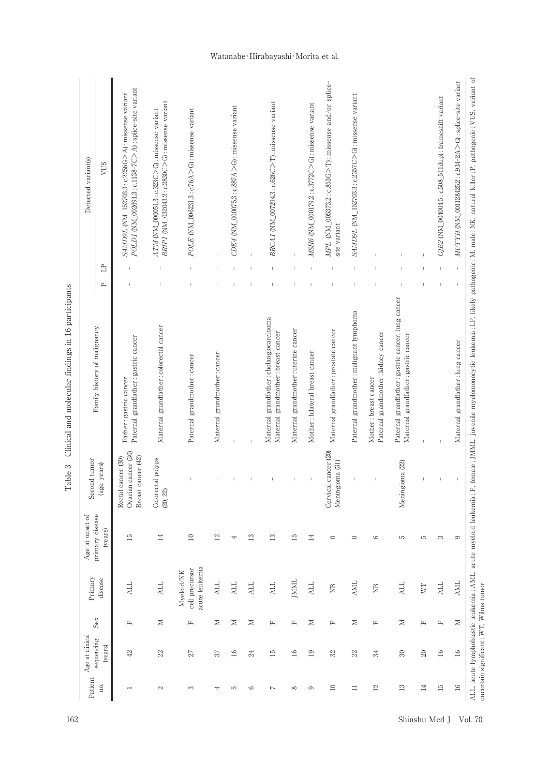| Detected variant(s)                | VUS<br>$\Box$<br>д | POLD1 (NM_002691.3: c.1138-7C>A): splice-site variant<br>SAMD9L (NM_152703.3: c.2256G>A): missense variant<br>$\mathbb{I}$ | BRIPI (NM_032043.2: c.2830C>G): missense variant<br>$ATM$ (NM_000051.3 : c.323C $>$ G) : missense variant | POLE (NM_006231.3 : c.76A > G) : missense variant<br>$\mathsf I$ |                              | CDK4 (NM_000075.3: c.887A > G): missense variant |               | BRCAI (NM_007294.3: c.626C>T): missense variant<br>t                            |                                       | $MSH6$ (NM_000179.2: $c.3772C$ > G): missense variant | $MPL$ (NM_005373.2:c.853G>T): missense and/or splice-<br>site variant | SAMD9L (NM_152703.3: c.2357C>G): missense variant<br>$\mathbb{I}$ |                                                              |                                                                                           |              | GJB2 (NM_004004.5: c.508_511dup): frameshift variant | $MUTYH$ (NM_001128425.2: c.934-2A $>$ G): splice-site variant<br>$\mathbf{I}$ |
|------------------------------------|--------------------|----------------------------------------------------------------------------------------------------------------------------|-----------------------------------------------------------------------------------------------------------|------------------------------------------------------------------|------------------------------|--------------------------------------------------|---------------|---------------------------------------------------------------------------------|---------------------------------------|-------------------------------------------------------|-----------------------------------------------------------------------|-------------------------------------------------------------------|--------------------------------------------------------------|-------------------------------------------------------------------------------------------|--------------|------------------------------------------------------|-------------------------------------------------------------------------------|
| Family history of malignancy       |                    | Paternal grandfather: gastric cancer<br>Father: gastric cancer                                                             | Maternal grandfather: colorectal cancer                                                                   | Paternal grandmother: cancer                                     | Maternal grandmother: cancer |                                                  |               | Maternal grandfather: cholangiocarcinoma<br>Maternal grandmother: breast cancer | Maternal grandmother : uterine cancer | Mother: bilateral breast cancer                       | Maternal grandfather: prostate cancer                                 | Paternal grandmother : malignant lymphoma                         | Paternal grandmother: kidney cancer<br>Mother: breast cancer | Paternal grandfather: gastric cancer, lung cancer<br>Maternal grandfather: gastric cancer |              |                                                      | Maternal grandfather: lung cancer                                             |
| Second tumor                       | (age, years)       | Ovarian cancer (30)<br>cancer (42)<br>cancer (30)<br>Breast<br>Rectal                                                      | Colorectal polyps<br>(20, 22)                                                                             |                                                                  |                              |                                                  |               |                                                                                 |                                       |                                                       | Cervical cancer (20)<br>Meningioma (31)                               |                                                                   |                                                              | Meningioma (22)                                                                           |              |                                                      |                                                                               |
| primary disease<br>Age at onset of | (years)            | 15                                                                                                                         | $\overline{14}$                                                                                           | $\Xi$                                                            | $\overline{2}$               | 4                                                | $\mathbf{13}$ | $\mathbf{r}$                                                                    | ΓS                                    | 彐                                                     | $\circ$                                                               | $\circ$                                                           | $\circ$                                                      | S                                                                                         | S            | 3                                                    | 6                                                                             |
| Primary                            | disease            | <b>ALL</b>                                                                                                                 | <b>ALL</b>                                                                                                | acute leukemia<br>cell precursor<br>Myeloid/NK                   | <b>ALL</b>                   | <b>ALL</b>                                       | <b>ALL</b>    | <b>ALL</b>                                                                      | JMML                                  | <b>ALL</b>                                            | $\Xi$                                                                 | <b>AML</b>                                                        | $\Xi$                                                        | <b>ALL</b>                                                                                | WT           | <b>ALL</b>                                           | <b>AML</b>                                                                    |
| Sex                                |                    | Ŀ                                                                                                                          | $\geq$                                                                                                    | Ŀ                                                                | $\geq$                       | $\geq$                                           | $\geq$        | Ŀ                                                                               | 臼                                     | $\geq$                                                | 丘                                                                     | $\geq$                                                            | Ŀ                                                            | $\geq$                                                                                    | 丘            | 丘                                                    | $\geq$                                                                        |
| Age at clinical<br>sequencing      | (years)            | $42\,$                                                                                                                     | 22                                                                                                        | 27                                                               | 37                           | $\overline{16}$                                  | 24            | $\overline{15}$                                                                 | $\frac{1}{6}$                         | $\overline{19}$                                       | 32                                                                    | 22                                                                | 24                                                           | $\mathcal{S}$                                                                             | $\infty$     | $\overline{16}$                                      | $16\,$                                                                        |
| Patient                            | no.                |                                                                                                                            | $\mathcal{C}$                                                                                             | 3                                                                |                              | S                                                | G             | 7                                                                               | $\infty$                              | 6                                                     | $\supseteq$                                                           | $\equiv$                                                          | $12\,$                                                       | $\overline{13}$                                                                           | $\mathbb{1}$ | $\overline{15}$                                      | $16\,$                                                                        |

Table 3 Clinical and molecular findings in 16 participants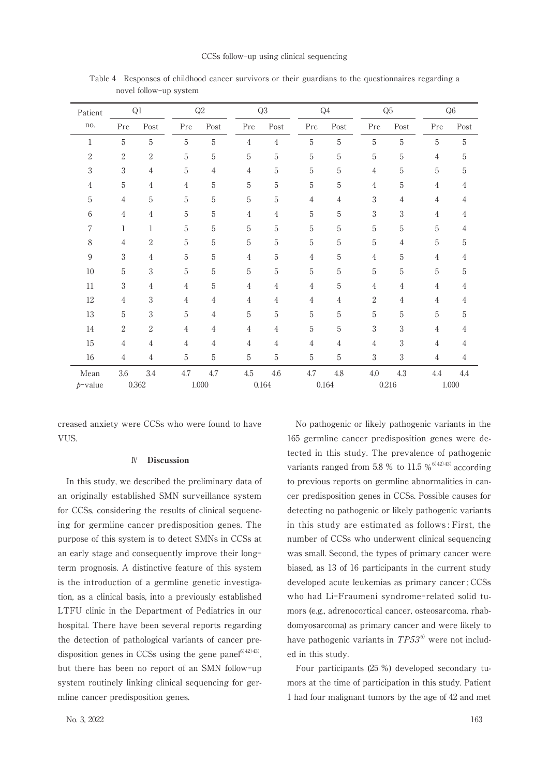| Patient        |                  | $\mathrm{Q}1$    |                | Q2             |                | Q3                                                                                  |       | $\mathbb{Q}4$  |                | $\mathrm{Q}5$                                                                       | Q <sub>6</sub> |      |  |
|----------------|------------------|------------------|----------------|----------------|----------------|-------------------------------------------------------------------------------------|-------|----------------|----------------|-------------------------------------------------------------------------------------|----------------|------|--|
| no.            | Pre              | Post             | Pre            | Post           | Pre            | $\operatorname*{Post}% \left( X\right) \equiv\operatorname*{Post}\left( X\right) ,$ | Pre   | Post           | $\Pr$          | $\operatorname*{Post}% \left( X\right) \equiv\operatorname*{Post}\left( X\right) ,$ | Pre            | Post |  |
| $\mathbf{1}$   | $\mathbf 5$      | $\mathbf 5$      | 5              | $\sqrt{5}$     | $\overline{4}$ | $\overline{4}$                                                                      | 5     | $\overline{5}$ | $\mathbf 5$    | $\mathbf 5$                                                                         | 5              | 5    |  |
| $\sqrt{2}$     | $\boldsymbol{2}$ | $\boldsymbol{2}$ | 5              | $\mathbf 5$    | 5              | 5                                                                                   | 5     | 5              | $\overline{5}$ | 5                                                                                   | 4              | 5    |  |
| $\sqrt{3}$     | $\sqrt{3}$       | $\overline{4}$   | 5              | 4              | 4              | 5                                                                                   | 5     | 5              | 4              | $\mathbf 5$                                                                         | 5              | 5    |  |
| $\overline{4}$ | $\mathbf 5$      | $\overline{4}$   | $\overline{4}$ | 5              | 5              | 5                                                                                   | 5     | 5              | $\overline{4}$ | 5                                                                                   | 4              | 4    |  |
| 5              | $\overline{4}$   | $\mathbf 5$      | 5              | 5              | $\overline{5}$ | 5                                                                                   | 4     | 4              | 3              | 4                                                                                   | 4              | 4    |  |
| 6              | $\overline{4}$   | $\overline{4}$   | 5              | $\overline{5}$ | $\overline{4}$ | 4                                                                                   | 5     | 5              | $\sqrt{3}$     | 3                                                                                   | 4              | 4    |  |
| $\overline{7}$ | $\mathbf{1}$     | $\mathbf{1}$     | 5              | $\overline{5}$ | $\overline{5}$ | 5                                                                                   | 5     | 5              | $\mathbf 5$    | 5                                                                                   | 5              | 4    |  |
| $\,8\,$        | $\overline{4}$   | $\boldsymbol{2}$ | 5              | 5              | $\mathbf 5$    | 5                                                                                   | 5     | 5              | 5              | 4                                                                                   | 5              | 5    |  |
| $\overline{9}$ | $\sqrt{3}$       | $\overline{4}$   | 5              | $\overline{5}$ | $\overline{4}$ | 5                                                                                   | 4     | 5              | $\overline{4}$ | 5                                                                                   | 4              | 4    |  |
| $10\,$         | $\mathbf 5$      | 3                | 5              | $\overline{5}$ | 5              | 5                                                                                   | 5     | 5              | $\mathbf 5$    | $\mathbf 5$                                                                         | 5              | 5    |  |
| 11             | $\sqrt{3}$       | $\overline{4}$   | 4              | $\overline{5}$ | 4              | 4                                                                                   | 4     | 5              | $\overline{4}$ | 4                                                                                   | 4              | 4    |  |
| 12             | $\overline{4}$   | $\sqrt{3}$       | 4              | 4              | 4              | 4                                                                                   | 4     | 4              | $\overline{2}$ | 4                                                                                   | 4              | 4    |  |
| 13             | $\mathbf 5$      | 3                | 5              | 4              | 5              | 5                                                                                   | 5     | 5              | 5              | 5                                                                                   | 5              | 5    |  |
| 14             | $\boldsymbol{2}$ | $\overline{2}$   | 4              | 4              | 4              | 4                                                                                   | 5     | 5              | 3              | 3                                                                                   | 4              | 4    |  |
| 15             | $\overline{4}$   | 4                | 4              | 4              | 4              | 4                                                                                   | 4     | 4              | $\overline{4}$ | 3                                                                                   | 4              | 4    |  |
| 16             | $\overline{4}$   | $\overline{4}$   | 5              | $\overline{5}$ | 5              | 5                                                                                   | 5     | 5              | 3              | 3                                                                                   | 4              | 4    |  |
| Mean           | $3.6\,$          | 3.4              | 4.7            | 4.7            | $4.5\,$        | 4.6                                                                                 | 4.7   | $4.8\,$        | $4.0\,$        | $4.3\,$                                                                             | 4.4            | 4.4  |  |
| $p$ -value     | 0.362            |                  |                | 1.000          |                | 0.164                                                                               | 0.164 |                | 0.216          |                                                                                     | 1.000          |      |  |

Table 4 Responses of childhood cancer survivors or their guardians to the questionnaires regarding a novel follow-up system

creased anxiety were CCSs who were found to have VUS.

#### $\mathbb{N}$ **Discussion**

In this study, we described the preliminary data of an originally established SMN surveillance system for CCSs, considering the results of clinical sequencing for germline cancer predisposition genes. The purpose of this system is to detect SMNs in CCSs at an early stage and consequently improve their longterm prognosis. A distinctive feature of this system is the introduction of a germline genetic investigation, as a clinical basis, into a previously established LTFU clinic in the Department of Pediatrics in our hospital. There have been several reports regarding the detection of pathological variants of cancer predisposition genes in CCSs using the gene panel<sup> $6)42)43$ </sup>. but there has been no report of an SMN follow-up system routinely linking clinical sequencing for germline cancer predisposition genes.

No. 3, 2022

No pathogenic or likely pathogenic variants in the 165 germline cancer predisposition genes were detected in this study. The prevalence of pathogenic variants ranged from 5.8 % to 11.5 %<sup>6)42)43</sup> according to previous reports on germline abnormalities in cancer predisposition genes in CCSs. Possible causes for detecting no pathogenic or likely pathogenic variants in this study are estimated as follows: First, the number of CCSs who underwent clinical sequencing was small. Second, the types of primary cancer were biased, as 13 of 16 participants in the current study developed acute leukemias as primary cancer : CCSs who had Li-Fraumeni syndrome-related solid tumors (e.g., adrenocortical cancer, osteosarcoma, rhabdomyosarcoma) as primary cancer and were likely to have pathogenic variants in  $TP53^6$  were not included in this study.

Four participants (25 %) developed secondary tumors at the time of participation in this study. Patient 1 had four malignant tumors by the age of 42 and met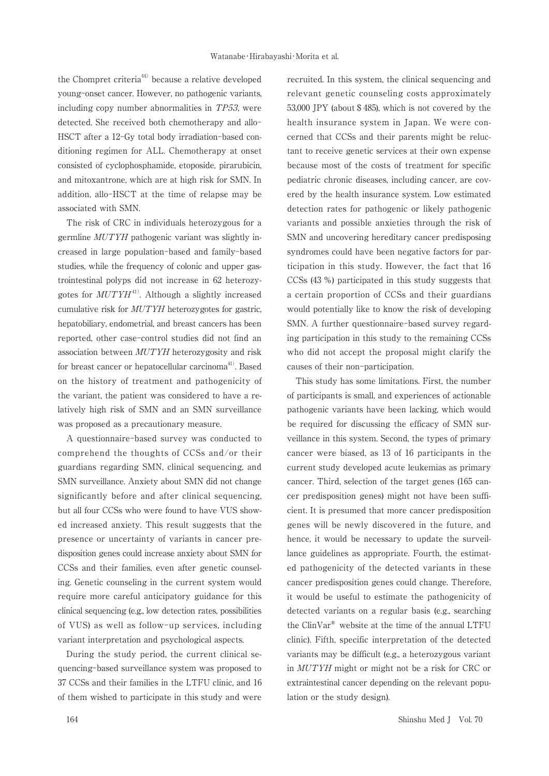the Chompret criteria<sup>44)</sup> because a relative developed young-onset cancer. However, no pathogenic variants, including copy number abnormalities in TP53, were detected. She received both chemotherapy and allo-HSCT after a 12-Gy total body irradiation-based conditioning regimen for ALL. Chemotherapy at onset consisted of cyclophosphamide, etoposide, pirarubicin, and mitoxantrone, which are at high risk for SMN. In addition, allo-HSCT at the time of relapse may be associated with SMN.

The risk of CRC in individuals heterozygous for a germline MUTYH pathogenic variant was slightly increased in large population-based and family-based studies, while the frequency of colonic and upper gastrointestinal polyps did not increase in 62 heterozygotes for  $MUTYH^{41}$ . Although a slightly increased cumulative risk for *MUTYH* heterozygotes for gastric. hepatobiliary, endometrial, and breast cancers has been reported, other case-control studies did not find an association between MUTYH heterozygosity and risk for breast cancer or hepatocellular carcinoma<sup>41)</sup>. Based on the history of treatment and pathogenicity of the variant, the patient was considered to have a relatively high risk of SMN and an SMN surveillance was proposed as a precautionary measure.

A questionnaire-based survey was conducted to comprehend the thoughts of CCSs and/or their guardians regarding SMN, clinical sequencing, and SMN surveillance. Anxiety about SMN did not change significantly before and after clinical sequencing, but all four CCSs who were found to have VUS showed increased anxiety. This result suggests that the presence or uncertainty of variants in cancer predisposition genes could increase anxiety about SMN for CCSs and their families, even after genetic counseling. Genetic counseling in the current system would require more careful anticipatory guidance for this clinical sequencing (e.g., low detection rates, possibilities of VUS) as well as follow-up services, including variant interpretation and psychological aspects.

During the study period, the current clinical sequencing-based surveillance system was proposed to 37 CCSs and their families in the LTFU clinic, and 16 of them wished to participate in this study and were

recruited. In this system, the clinical sequencing and relevant genetic counseling costs approximately 53,000 JPY (about \$485), which is not covered by the health insurance system in Japan. We were concerned that CCSs and their parents might be reluctant to receive genetic services at their own expense because most of the costs of treatment for specific pediatric chronic diseases, including cancer, are covered by the health insurance system. Low estimated detection rates for pathogenic or likely pathogenic variants and possible anxieties through the risk of SMN and uncovering hereditary cancer predisposing syndromes could have been negative factors for participation in this study. However, the fact that 16 CCSs (43 %) participated in this study suggests that a certain proportion of CCSs and their guardians would potentially like to know the risk of developing SMN. A further questionnaire-based survey regarding participation in this study to the remaining CCSs who did not accept the proposal might clarify the causes of their non-participation.

This study has some limitations. First, the number of participants is small, and experiences of actionable pathogenic variants have been lacking, which would be required for discussing the efficacy of SMN surveillance in this system. Second, the types of primary cancer were biased, as 13 of 16 participants in the current study developed acute leukemias as primary cancer. Third, selection of the target genes (165 cancer predisposition genes) might not have been sufficient. It is presumed that more cancer predisposition genes will be newly discovered in the future, and hence, it would be necessary to update the surveillance guidelines as appropriate. Fourth, the estimated pathogenicity of the detected variants in these cancer predisposition genes could change. Therefore, it would be useful to estimate the pathogenicity of detected variants on a regular basis (e.g., searching the ClinVar® website at the time of the annual LTFU clinic). Fifth, specific interpretation of the detected variants may be difficult (e.g., a heterozygous variant in MUTYH might or might not be a risk for CRC or extraintestinal cancer depending on the relevant population or the study design).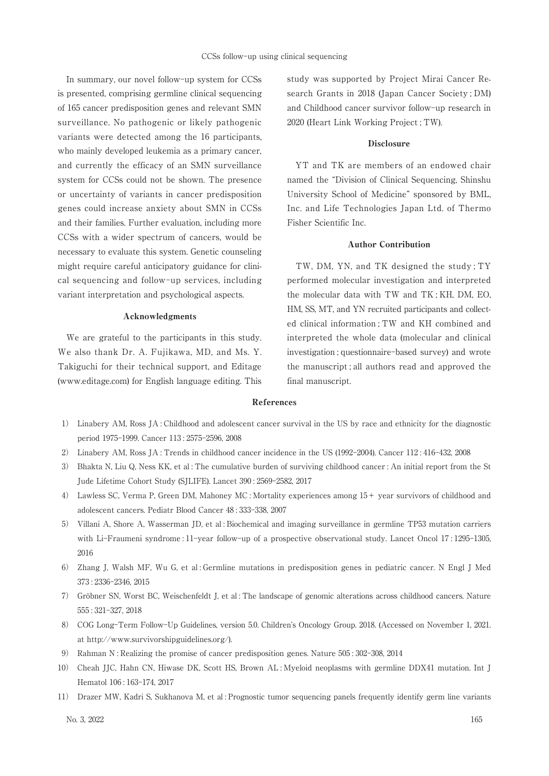In summary, our novel follow-up system for CCSs is presented, comprising germline clinical sequencing of 165 cancer predisposition genes and relevant SMN surveillance. No pathogenic or likely pathogenic variants were detected among the 16 participants, who mainly developed leukemia as a primary cancer, and currently the efficacy of an SMN surveillance system for CCSs could not be shown. The presence or uncertainty of variants in cancer predisposition genes could increase anxiety about SMN in CCSs and their families. Further evaluation, including more CCSs with a wider spectrum of cancers, would be necessary to evaluate this system. Genetic counseling might require careful anticipatory guidance for clinical sequencing and follow-up services, including variant interpretation and psychological aspects.

### Acknowledgments

We are grateful to the participants in this study. We also thank Dr. A. Fujikawa, MD, and Ms. Y. Takiguchi for their technical support, and Editage (www.editage.com) for English language editing. This

study was supported by Project Mirai Cancer Research Grants in 2018 (Japan Cancer Society; DM) and Childhood cancer survivor follow-up research in 2020 (Heart Link Working Project; TW).

#### **Disclosure**

YT and TK are members of an endowed chair named the "Division of Clinical Sequencing, Shinshu University School of Medicine" sponsored by BML, Inc. and Life Technologies Japan Ltd. of Thermo Fisher Scientific Inc.

### **Author Contribution**

TW, DM, YN, and TK designed the study; TY performed molecular investigation and interpreted the molecular data with TW and TK; KH, DM, EO, HM, SS, MT, and YN recruited participants and collected clinical information; TW and KH combined and interpreted the whole data (molecular and clinical investigation; questionnaire-based survey) and wrote the manuscript; all authors read and approved the final manuscript.

#### References

- 1) Linabery AM, Ross JA: Childhood and adolescent cancer survival in the US by race and ethnicity for the diagnostic period 1975-1999. Cancer 113: 2575-2596, 2008
- 2) Linabery AM, Ross JA: Trends in childhood cancer incidence in the US (1992-2004). Cancer 112:416-432, 2008
- 3) Bhakta N, Liu Q, Ness KK, et al: The cumulative burden of surviving childhood cancer: An initial report from the St Jude Lifetime Cohort Study (SJLIFE). Lancet 390: 2569-2582, 2017
- 4) Lawless SC, Verma P, Green DM, Mahoney MC: Mortality experiences among 15+ year survivors of childhood and adolescent cancers. Pediatr Blood Cancer 48:333-338, 2007
- 5) Villani A, Shore A, Wasserman JD, et al: Biochemical and imaging surveillance in germline TP53 mutation carriers with Li-Fraumeni syndrome: 11-year follow-up of a prospective observational study. Lancet Oncol 17:1295-1305, 2016
- 6) Zhang J, Walsh MF, Wu G, et al: Germline mutations in predisposition genes in pediatric cancer. N Engl J Med 373: 2336-2346, 2015
- 7) Gröbner SN, Worst BC, Weischenfeldt J, et al: The landscape of genomic alterations across childhood cancers. Nature 555: 321-327, 2018
- 8) COG Long-Term Follow-Up Guidelines, version 5.0. Children's Oncology Group. 2018. (Accessed on November 1, 2021. at http://www.survivorshipguidelines.org/).
- 9) Rahman N: Realizing the promise of cancer predisposition genes. Nature 505:302-308, 2014
- 10) Cheah JJC, Hahn CN, Hiwase DK, Scott HS, Brown AL: Myeloid neoplasms with germline DDX41 mutation. Int J Hematol 106:163-174, 2017
- 11) Drazer MW, Kadri S, Sukhanova M, et al: Prognostic tumor sequencing panels frequently identify germ line variants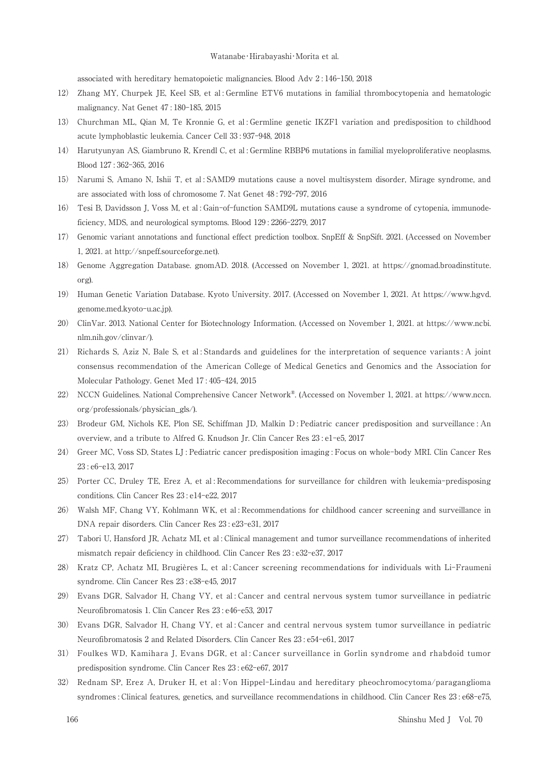#### Watanabe · Hirabayashi · Morita et al.

associated with hereditary hematopoietic malignancies. Blood Adv 2:146-150, 2018

- 12) Zhang MY, Churpek JE, Keel SB, et al: Germline ETV6 mutations in familial thrombocytopenia and hematologic malignancy. Nat Genet 47:180-185, 2015
- 13) Churchman ML, Qian M, Te Kronnie G, et al: Germline genetic IKZF1 variation and predisposition to childhood acute lymphoblastic leukemia. Cancer Cell 33:937-948, 2018
- 14) Harutyunyan AS, Giambruno R, Krendl C, et al: Germline RBBP6 mutations in familial myeloproliferative neoplasms. Blood 127:362-365, 2016
- 15) Narumi S, Amano N, Ishii T, et al: SAMD9 mutations cause a novel multisystem disorder, Mirage syndrome, and are associated with loss of chromosome 7. Nat Genet 48:792-797, 2016
- 16) Tesi B, Davidsson J, Voss M, et al: Gain-of-function SAMD9L mutations cause a syndrome of cytopenia, immunodeficiency, MDS, and neurological symptoms, Blood 129: 2266-2279, 2017
- 17) Genomic variant annotations and functional effect prediction toolbox. SnpEff & SnpSift. 2021. (Accessed on November 1, 2021. at http://snpeff.sourceforge.net).
- Genome Aggregation Database. gnomAD. 2018. (Accessed on November 1, 2021. at https://gnomad.broadinstitute. 18)  $\alpha$ r $\alpha$ )
- 19) Human Genetic Variation Database. Kyoto University. 2017. (Accessed on November 1, 2021. At https://www.hgvd. genome.med.kyoto-u.ac.jp).
- ClinVar. 2013. National Center for Biotechnology Information. (Accessed on November 1, 2021. at https://www.ncbi.  $(20)$ nlm.nih.gov/clinvar/).
- $21)$ Richards S. Aziz N. Bale S. et al: Standards and guidelines for the interpretation of sequence variants: A joint consensus recommendation of the American College of Medical Genetics and Genomics and the Association for Molecular Pathology. Genet Med 17:405-424, 2015
- 22) NCCN Guidelines. National Comprehensive Cancer Network®. (Accessed on November 1, 2021. at https://www.nccn. org/professionals/physician gls/).
- 23) Brodeur GM, Nichols KE, Plon SE, Schiffman JD, Malkin D: Pediatric cancer predisposition and surveillance: An overview, and a tribute to Alfred G. Knudson Jr. Clin Cancer Res 23: e1-e5, 2017
- 24) Greer MC, Voss SD, States LJ: Pediatric cancer predisposition imaging: Focus on whole-body MRI, Clin Cancer Res 23: e6-e13, 2017
- 25) Porter CC, Druley TE, Erez A, et al: Recommendations for surveillance for children with leukemia-predisposing conditions. Clin Cancer Res 23: e14-e22, 2017
- 26) Walsh MF, Chang VY, Kohlmann WK, et al: Recommendations for childhood cancer screening and surveillance in DNA repair disorders. Clin Cancer Res 23: e23-e31, 2017
- 27) Tabori U, Hansford JR, Achatz MI, et al: Clinical management and tumor surveillance recommendations of inherited mismatch repair deficiency in childhood. Clin Cancer Res 23: e32-e37, 2017
- 28) Kratz CP, Achatz MI, Brugières L, et al: Cancer screening recommendations for individuals with Li-Fraumeni syndrome. Clin Cancer Res 23: e38-e45, 2017
- 29) Evans DGR, Salvador H, Chang VY, et al: Cancer and central nervous system tumor surveillance in pediatric Neurofibromatosis 1. Clin Cancer Res 23: e46-e53, 2017
- 30) Evans DGR, Salvador H, Chang VY, et al: Cancer and central nervous system tumor surveillance in pediatric Neurofibromatosis 2 and Related Disorders. Clin Cancer Res 23: e54-e61, 2017
- 31) Foulkes WD, Kamihara J, Evans DGR, et al: Cancer surveillance in Gorlin syndrome and rhabdoid tumor predisposition syndrome. Clin Cancer Res 23: e62-e67, 2017
- 32) Rednam SP, Erez A, Druker H, et al: Von Hippel-Lindau and hereditary pheochromocytoma/paraganglioma syndromes : Clinical features, genetics, and surveillance recommendations in childhood. Clin Cancer Res 23: e68-e75,